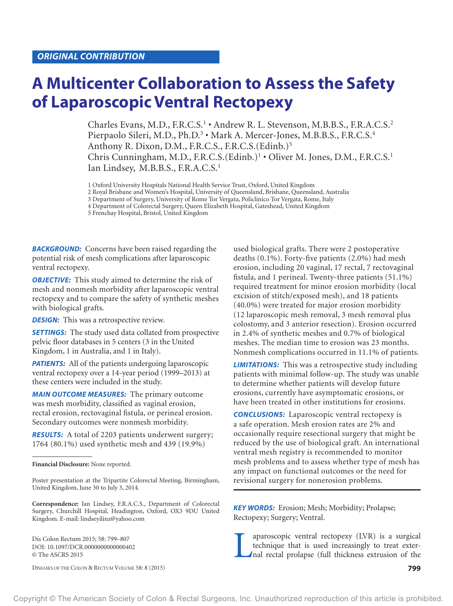# **A Multicenter Collaboration to Assess the Safety of Laparoscopic Ventral Rectopexy**

Charles Evans, M.D., F.R.C.S.<sup>1</sup> · Andrew R. L. Stevenson, M.B.B.S., F.R.A.C.S.<sup>2</sup> Pierpaolo Sileri, M.D., Ph.D.<sup>3</sup> · Mark A. Mercer-Jones, M.B.B.S., F.R.C.S.<sup>4</sup> Anthony R. Dixon, D.M., F.R.C.S., F.R.C.S.(Edinb.)5 Chris Cunningham, M.D., F.R.C.S.(Edinb.)<sup>1</sup> · Oliver M. Jones, D.M., F.R.C.S.<sup>1</sup> Ian Lindsey, M.B.B.S., F.R.A.C.S.<sup>1</sup>

1 Oxford University Hospitals National Health Service Trust, Oxford, United Kingdom

2 Royal Brisbane and Women's Hospital, University of Queensland, Brisbane, Queensland, Australia

3 Department of Surgery, University of Rome Tor Vergata, Policlinico Tor Vergata, Rome, Italy

4 Department of Colorectal Surgery, Queen Elizabeth Hospital, Gateshead, United Kingdom

5 Frenchay Hospital, Bristol, United Kingdom

**BACKGROUND:** Concerns have been raised regarding the potential risk of mesh complications after laparoscopic ventral rectopexy.

**OBJECTIVE:** This study aimed to determine the risk of mesh and nonmesh morbidity after laparoscopic ventral rectopexy and to compare the safety of synthetic meshes with biological grafts.

**DESIGN:** This was a retrospective review.

**SETTINGS:** The study used data collated from prospective pelvic floor databases in 5 centers (3 in the United Kingdom, 1 in Australia, and 1 in Italy).

**PATIENTS:** All of the patients undergoing laparoscopic ventral rectopexy over a 14-year period (1999–2013) at these centers were included in the study.

**MAIN OUTCOME MEASURES:** The primary outcome was mesh morbidity, classified as vaginal erosion, rectal erosion, rectovaginal fistula, or perineal erosion. Secondary outcomes were nonmesh morbidity.

**RESULTS:** A total of 2203 patients underwent surgery; 1764 (80.1%) used synthetic mesh and 439 (19.9%)

**Financial Disclosure:** None reported.

Poster presentation at the Tripartite Colorectal Meeting, Birmingham, United Kingdom, June 30 to July 3, 2014.

**Correspondence:** Ian Lindsey, F.R.A.C.S., Department of Colorectal Surgery, Churchill Hospital, Headington, Oxford, OX3 9DU United Kingdom. E-mail: lindseyilinz@yahoo.com

Dis Colon Rectum 2015; 58: 799–807 DOI: 10.1097/DCR.0000000000000402 © The ASCRS 2015

DISEASES OF THE COLON & RECTUM VOLUME 58: 8 (2015) **799**

used biological grafts. There were 2 postoperative deaths (0.1%). Forty-five patients (2.0%) had mesh erosion, including 20 vaginal, 17 rectal, 7 rectovaginal fistula, and 1 perineal. Twenty-three patients (51.1%) required treatment for minor erosion morbidity (local excision of stitch/exposed mesh), and 18 patients (40.0%) were treated for major erosion morbidity (12 laparoscopic mesh removal, 3 mesh removal plus colostomy, and 3 anterior resection). Erosion occurred in 2.4% of synthetic meshes and 0.7% of biological meshes. The median time to erosion was 23 months. Nonmesh complications occurred in 11.1% of patients.

**LIMITATIONS:** This was a retrospective study including patients with minimal follow-up. The study was unable to determine whether patients will develop future erosions, currently have asymptomatic erosions, or have been treated in other institutions for erosions.

**CONCLUSIONS:** Laparoscopic ventral rectopexy is a safe operation. Mesh erosion rates are 2% and occasionally require resectional surgery that might be reduced by the use of biological graft. An international ventral mesh registry is recommended to monitor mesh problems and to assess whether type of mesh has any impact on functional outcomes or the need for revisional surgery for nonerosion problems.

**KEY WORDS:** Erosion; Mesh; Morbidity; Prolapse; Rectopexy; Surgery; Ventral.

**Expansion Contral rectopexy (LVR)** is a surgical technique that is used increasingly to treat external rectal prolapse (full thickness extrusion of the technique that is used increasingly to treat external rectal prolapse (full thickness extrusion of the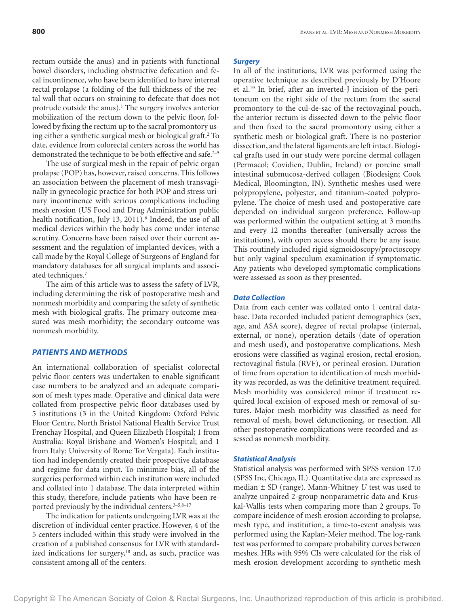rectum outside the anus) and in patients with functional bowel disorders, including obstructive defecation and fecal incontinence, who have been identified to have internal rectal prolapse (a folding of the full thickness of the rectal wall that occurs on straining to defecate that does not protrude outside the anus).<sup>1</sup> The surgery involves anterior mobilization of the rectum down to the pelvic floor, followed by fixing the rectum up to the sacral promontory using either a synthetic surgical mesh or biological graft.2 To date, evidence from colorectal centers across the world has demonstrated the technique to be both effective and safe.<sup>2–5</sup>

The use of surgical mesh in the repair of pelvic organ prolapse (POP) has, however, raised concerns. This follows an association between the placement of mesh transvaginally in gynecologic practice for both POP and stress urinary incontinence with serious complications including mesh erosion (US Food and Drug Administration public health notification, July 13, 2011).<sup>6</sup> Indeed, the use of all medical devices within the body has come under intense scrutiny. Concerns have been raised over their current assessment and the regulation of implanted devices, with a call made by the Royal College of Surgeons of England for mandatory databases for all surgical implants and associated techniques.7

The aim of this article was to assess the safety of LVR, including determining the risk of postoperative mesh and nonmesh morbidity and comparing the safety of synthetic mesh with biological grafts. The primary outcome measured was mesh morbidity; the secondary outcome was nonmesh morbidity.

## **PATIENTS AND METHODS**

An international collaboration of specialist colorectal pelvic floor centers was undertaken to enable significant case numbers to be analyzed and an adequate comparison of mesh types made. Operative and clinical data were collated from prospective pelvic floor databases used by 5 institutions (3 in the United Kingdom: Oxford Pelvic Floor Centre, North Bristol National Health Service Trust Frenchay Hospital, and Queen Elizabeth Hospital; 1 from Australia: Royal Brisbane and Women's Hospital; and 1 from Italy: University of Rome Tor Vergata). Each institution had independently created their prospective database and regime for data input. To minimize bias, all of the surgeries performed within each institution were included and collated into 1 database. The data interpreted within this study, therefore, include patients who have been reported previously by the individual centers.<sup>3-5,8-17</sup>

The indication for patients undergoing LVR was at the discretion of individual center practice. However, 4 of the 5 centers included within this study were involved in the creation of a published consensus for LVR with standardized indications for surgery,<sup>18</sup> and, as such, practice was consistent among all of the centers.

## **Surgery**

In all of the institutions, LVR was performed using the operative technique as described previously by D'Hoore et al.<sup>19</sup> In brief, after an inverted-J incision of the peritoneum on the right side of the rectum from the sacral promontory to the cul-de-sac of the rectovaginal pouch, the anterior rectum is dissected down to the pelvic floor and then fixed to the sacral promontory using either a synthetic mesh or biological graft. There is no posterior dissection, and the lateral ligaments are left intact. Biological grafts used in our study were porcine dermal collagen (Permacol; Covidien, Dublin, Ireland) or porcine small intestinal submucosa-derived collagen (Biodesign; Cook Medical, Bloomington, IN). Synthetic meshes used were polypropylene, polyester, and titanium-coated polypropylene. The choice of mesh used and postoperative care depended on individual surgeon preference. Follow-up was performed within the outpatient setting at 3 months and every 12 months thereafter (universally across the institutions), with open access should there be any issue. This routinely included rigid sigmoidoscopy/proctoscopy but only vaginal speculum examination if symptomatic. Any patients who developed symptomatic complications were assessed as soon as they presented.

## **Data Collection**

Data from each center was collated onto 1 central database. Data recorded included patient demographics (sex, age, and ASA score), degree of rectal prolapse (internal, external, or none), operation details (date of operation and mesh used), and postoperative complications. Mesh erosions were classified as vaginal erosion, rectal erosion, rectovaginal fistula (RVF), or perineal erosion. Duration of time from operation to identification of mesh morbidity was recorded, as was the definitive treatment required. Mesh morbidity was considered minor if treatment required local excision of exposed mesh or removal of sutures. Major mesh morbidity was classified as need for removal of mesh, bowel defunctioning, or resection. All other postoperative complications were recorded and assessed as nonmesh morbidity.

### **Statistical Analysis**

Statistical analysis was performed with SPSS version 17.0 (SPSS Inc, Chicago, IL). Quantitative data are expressed as median  $\pm$  SD (range). Mann-Whitney U test was used to analyze unpaired 2-group nonparametric data and Kruskal-Wallis tests when comparing more than 2 groups. To compare incidence of mesh erosion according to prolapse, mesh type, and institution, a time-to-event analysis was performed using the Kaplan-Meier method. The log-rank test was performed to compare probability curves between meshes. HRs with 95% CIs were calculated for the risk of mesh erosion development according to synthetic mesh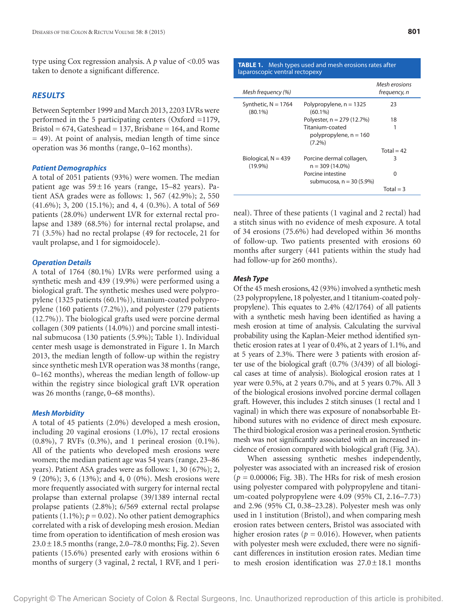type using Cox regression analysis. A *p* value of <0.05 was taken to denote a significant difference.

## **RESULTS**

Between September 1999 and March 2013, 2203 LVRs were performed in the 5 participating centers (Oxford =1179,  $Bristol = 674$ , Gateshead = 137, Brisbane = 164, and Rome  $=$  49). At point of analysis, median length of time since operation was 36 months (range, 0–162 months).

## **Patient Demographics**

A total of 2051 patients (93%) were women. The median patient age was  $59 \pm 16$  years (range, 15–82 years). Patient ASA grades were as follows: 1, 567 (42.9%); 2, 550 (41.6%); 3, 200 (15.1%); and 4, 4 (0.3%). A total of 569 patients (28.0%) underwent LVR for external rectal prolapse and 1389 (68.5%) for internal rectal prolapse, and 71 (3.5%) had no rectal prolapse (49 for rectocele, 21 for vault prolapse, and 1 for sigmoidocele).

#### **Operation Details**

A total of 1764 (80.1%) LVRs were performed using a synthetic mesh and 439 (19.9%) were performed using a biological graft. The synthetic meshes used were polypropylene (1325 patients (60.1%)), titanium-coated polypropylene (160 patients (7.2%)), and polyester (279 patients (12.7%)). The biological grafts used were porcine dermal collagen (309 patients (14.0%)) and porcine small intestinal submucosa (130 patients (5.9%); Table 1). Individual center mesh usage is demonstrated in Figure 1. In March 2013, the median length of follow-up within the registry since synthetic mesh LVR operation was 38 months (range, 0–162 months), whereas the median length of follow-up within the registry since biological graft LVR operation was 26 months (range, 0–68 months).

#### **Mesh Morbidity**

A total of 45 patients (2.0%) developed a mesh erosion, including 20 vaginal erosions (1.0%), 17 rectal erosions (0.8%), 7 RVFs (0.3%), and 1 perineal erosion (0.1%). All of the patients who developed mesh erosions were women; the median patient age was 54 years (range, 23–86 years). Patient ASA grades were as follows: 1, 30 (67%); 2, 9 (20%); 3, 6 (13%); and 4, 0 (0%). Mesh erosions were more frequently associated with surgery for internal rectal prolapse than external prolapse (39/1389 internal rectal prolapse patients (2.8%); 6/569 external rectal prolapse patients  $(1.1\%)$ ;  $p = 0.02$ ). No other patient demographics correlated with a risk of developing mesh erosion. Median time from operation to identification of mesh erosion was  $23.0 \pm 18.5$  months (range, 2.0–78.0 months; Fig. 2). Seven patients (15.6%) presented early with erosions within 6 months of surgery (3 vaginal, 2 rectal, 1 RVF, and 1 peri**TABLE 1.** Mesh types used and mesh erosions rates after laparoscopic ventral rectopexy

| Mesh frequency (%)                  |                                               | Mesh erosions<br>frequency, n |
|-------------------------------------|-----------------------------------------------|-------------------------------|
| Synthetic, $N = 1764$<br>$(80.1\%)$ | Polypropylene, $n = 1325$<br>$(60.1\%)$       | 23                            |
|                                     | Polyester, $n = 279$ (12.7%)                  | 18                            |
|                                     | Titanium-coated                               | 1                             |
|                                     | polypropylene, $n = 160$<br>$(7.2\%)$         |                               |
|                                     |                                               | Total = $42$                  |
| Biological, $N = 439$<br>$(19.9\%)$ | Porcine dermal collagen,<br>$n = 309(14.0\%)$ | 3                             |
|                                     | Porcine intestine                             | O                             |
|                                     | submucosa, $n = 30$ (5.9%)                    |                               |
|                                     |                                               | Total $=$ 3                   |

neal). Three of these patients (1 vaginal and 2 rectal) had a stitch sinus with no evidence of mesh exposure. A total of 34 erosions (75.6%) had developed within 36 months of follow-up. Two patients presented with erosions 60 months after surgery (441 patients within the study had had follow-up for ≥60 months).

## **Mesh Type**

Of the 45 mesh erosions, 42 (93%) involved a synthetic mesh (23 polypropylene, 18 polyester, and 1 titanium-coated polypropylene). This equates to 2.4% (42/1764) of all patients with a synthetic mesh having been identified as having a mesh erosion at time of analysis. Calculating the survival probability using the Kaplan-Meier method identified synthetic erosion rates at 1 year of 0.4%, at 2 years of 1.1%, and at 5 years of 2.3%. There were 3 patients with erosion after use of the biological graft (0.7% (3/439) of all biological cases at time of analysis). Biological erosion rates at 1 year were 0.5%, at 2 years 0.7%, and at 5 years 0.7%. All 3 of the biological erosions involved porcine dermal collagen graft. However, this includes 2 stitch sinuses (1 rectal and 1 vaginal) in which there was exposure of nonabsorbable Ethibond sutures with no evidence of direct mesh exposure. The third biological erosion was a perineal erosion. Synthetic mesh was not significantly associated with an increased incidence of erosion compared with biological graft (Fig. 3A).

When assessing synthetic meshes independently, polyester was associated with an increased risk of erosion  $(p = 0.00006;$  Fig. 3B). The HRs for risk of mesh erosion using polyester compared with polypropylene and titanium-coated polypropylene were 4.09 (95% CI, 2.16–7.73) and 2.96 (95% CI, 0.38–23.28). Polyester mesh was only used in 1 institution (Bristol), and when comparing mesh erosion rates between centers, Bristol was associated with higher erosion rates ( $p = 0.016$ ). However, when patients with polyester mesh were excluded, there were no significant differences in institution erosion rates. Median time to mesh erosion identification was  $27.0 \pm 18.1$  months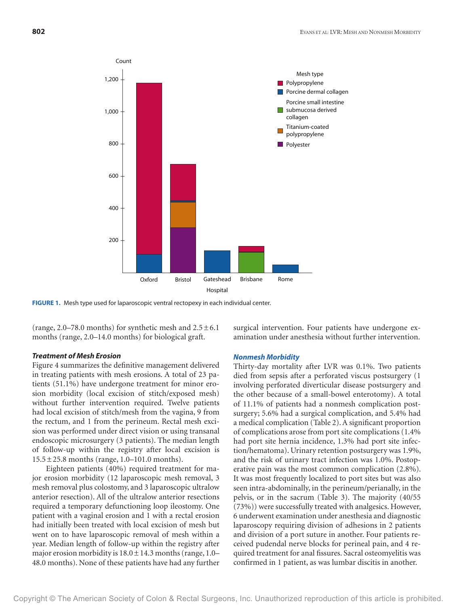

**FIGURE 1.** Mesh type used for laparoscopic ventral rectopexy in each individual center.

(range, 2.0–78.0 months) for synthetic mesh and  $2.5 \pm 6.1$ months (range, 2.0–14.0 months) for biological graft.

#### **Treatment of Mesh Erosion**

Figure 4 summarizes the definitive management delivered in treating patients with mesh erosions. A total of 23 patients (51.1%) have undergone treatment for minor erosion morbidity (local excision of stitch/exposed mesh) without further intervention required. Twelve patients had local excision of stitch/mesh from the vagina, 9 from the rectum, and 1 from the perineum. Rectal mesh excision was performed under direct vision or using transanal endoscopic microsurgery (3 patients). The median length of follow-up within the registry after local excision is 15.5±25.8 months (range, 1.0–101.0 months).

Eighteen patients (40%) required treatment for major erosion morbidity (12 laparoscopic mesh removal, 3 mesh removal plus colostomy, and 3 laparoscopic ultralow anterior resection). All of the ultralow anterior resections required a temporary defunctioning loop ileostomy. One patient with a vaginal erosion and 1 with a rectal erosion had initially been treated with local excision of mesh but went on to have laparoscopic removal of mesh within a year. Median length of follow-up within the registry after major erosion morbidity is  $18.0 \pm 14.3$  months (range, 1.0– 48.0 months). None of these patients have had any further

surgical intervention. Four patients have undergone examination under anesthesia without further intervention.

#### **Nonmesh Morbidity**

Thirty-day mortality after LVR was 0.1%. Two patients died from sepsis after a perforated viscus postsurgery (1 involving perforated diverticular disease postsurgery and the other because of a small-bowel enterotomy). A total of 11.1% of patients had a nonmesh complication postsurgery; 5.6% had a surgical complication, and 5.4% had a medical complication (Table 2). A significant proportion of complications arose from port site complications (1.4% had port site hernia incidence, 1.3% had port site infection/hematoma). Urinary retention postsurgery was 1.9%, and the risk of urinary tract infection was 1.0%. Postoperative pain was the most common complication (2.8%). It was most frequently localized to port sites but was also seen intra-abdominally, in the perineum/perianally, in the pelvis, or in the sacrum (Table 3). The majority (40/55 (73%)) were successfully treated with analgesics. However, 6 underwent examination under anesthesia and diagnostic laparoscopy requiring division of adhesions in 2 patients and division of a port suture in another. Four patients received pudendal nerve blocks for perineal pain, and 4 required treatment for anal fissures. Sacral osteomyelitis was confirmed in 1 patient, as was lumbar discitis in another.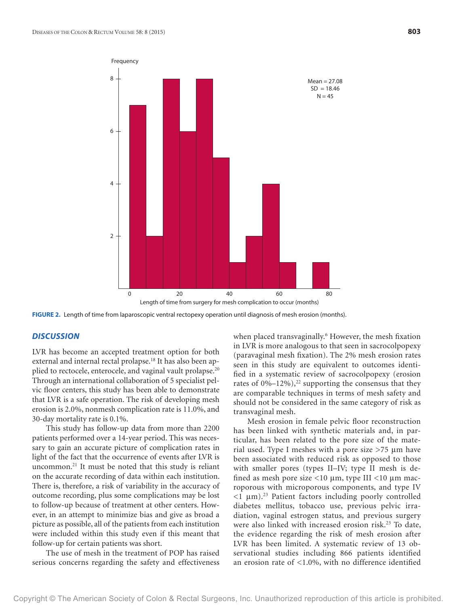

**FIGURE 2.** Length of time from laparoscopic ventral rectopexy operation until diagnosis of mesh erosion (months).

## **DISCUSSION**

LVR has become an accepted treatment option for both external and internal rectal prolapse.<sup>18</sup> It has also been applied to rectocele, enterocele, and vaginal vault prolapse.<sup>20</sup> Through an international collaboration of 5 specialist pelvic floor centers, this study has been able to demonstrate that LVR is a safe operation. The risk of developing mesh erosion is 2.0%, nonmesh complication rate is 11.0%, and 30-day mortality rate is 0.1%.

This study has follow-up data from more than 2200 patients performed over a 14-year period. This was necessary to gain an accurate picture of complication rates in light of the fact that the occurrence of events after LVR is uncommon.21 It must be noted that this study is reliant on the accurate recording of data within each institution. There is, therefore, a risk of variability in the accuracy of outcome recording, plus some complications may be lost to follow-up because of treatment at other centers. However, in an attempt to minimize bias and give as broad a picture as possible, all of the patients from each institution were included within this study even if this meant that follow-up for certain patients was short.

The use of mesh in the treatment of POP has raised serious concerns regarding the safety and effectiveness

when placed transvaginally.<sup>6</sup> However, the mesh fixation in LVR is more analogous to that seen in sacrocolpopexy (paravaginal mesh fixation). The 2% mesh erosion rates seen in this study are equivalent to outcomes identified in a systematic review of sacrocolpopexy (erosion rates of  $0\%$ –12%),<sup>22</sup> supporting the consensus that they are comparable techniques in terms of mesh safety and should not be considered in the same category of risk as transvaginal mesh.

Mesh erosion in female pelvic floor reconstruction has been linked with synthetic materials and, in particular, has been related to the pore size of the material used. Type I meshes with a pore size  $>75 \mu m$  have been associated with reduced risk as opposed to those with smaller pores (types II–IV; type II mesh is defined as mesh pore size <10  $\mu$ m, type III <10  $\mu$ m macroporous with microporous components, and type IV  $<$ 1  $\mu$ m).<sup>23</sup> Patient factors including poorly controlled diabetes mellitus, tobacco use, previous pelvic irradiation, vaginal estrogen status, and previous surgery were also linked with increased erosion risk.<sup>23</sup> To date, the evidence regarding the risk of mesh erosion after LVR has been limited. A systematic review of 13 observational studies including 866 patients identified an erosion rate of <1.0%, with no difference identified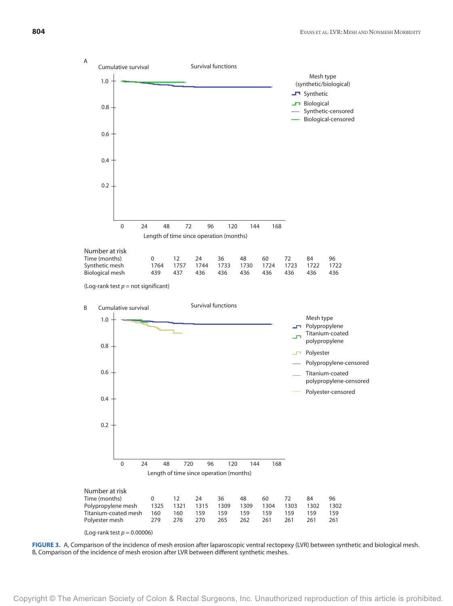

**FIGURE 3.** A, Comparison of the incidence of mesh erosion after laparoscopic ventral rectopexy (LVR) between synthetic and biological mesh. B, Comparison of the incidence of mesh erosion after LVR between diferent synthetic meshes.

Copyright © The American Society of Colon & Rectal Surgeons, Inc. Unauthorized reproduction of this article is prohibited.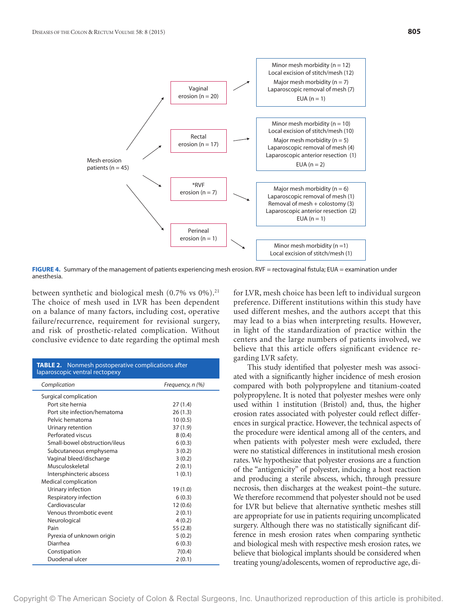

FIGURE 4. Summary of the management of patients experiencing mesh erosion. RVF = rectovaginal fistula; EUA = examination under anesthesia.

between synthetic and biological mesh  $(0.7\% \text{ vs } 0\%).^{21}$ The choice of mesh used in LVR has been dependent on a balance of many factors, including cost, operative failure/recurrence, requirement for revisional surgery, and risk of prosthetic-related complication. Without conclusive evidence to date regarding the optimal mesh

| <b>TABLE 2.</b> Nonmesh postoperative complications after<br>laparoscopic ventral rectopexy |                  |  |
|---------------------------------------------------------------------------------------------|------------------|--|
| Complication                                                                                | Frequency, n (%) |  |
| Surgical complication                                                                       |                  |  |
| Port site hernia                                                                            | 27 (1.4)         |  |
| Port site infection/hematoma                                                                | 26(1.3)          |  |
| Pelvic hematoma                                                                             | 10(0.5)          |  |
| Urinary retention                                                                           | 37 (1.9)         |  |
| Perforated viscus                                                                           | 8(0.4)           |  |
| Small-bowel obstruction/ileus                                                               | 6(0.3)           |  |
| Subcutaneous emphysema                                                                      | 3(0.2)           |  |
| Vaginal bleed/discharge                                                                     | 3(0.2)           |  |
| Musculoskeletal                                                                             | 2(0.1)           |  |
| Intersphincteric abscess                                                                    | 1(0.1)           |  |
| <b>Medical complication</b>                                                                 |                  |  |
| Urinary infection                                                                           | 19(1.0)          |  |
| Respiratory infection                                                                       | 6(0.3)           |  |
| Cardiovascular                                                                              | 12(0.6)          |  |
| Venous thrombotic event                                                                     | 2(0.1)           |  |
| Neurological                                                                                | 4(0.2)           |  |
| Pain                                                                                        | 55(2.8)          |  |
| Pyrexia of unknown origin                                                                   | 5(0.2)           |  |
| Diarrhea                                                                                    | 6(0.3)           |  |
| Constipation                                                                                | 7(0.4)           |  |
| Duodenal ulcer                                                                              | 2(0.1)           |  |

for LVR, mesh choice has been left to individual surgeon preference. Different institutions within this study have used different meshes, and the authors accept that this may lead to a bias when interpreting results. However, in light of the standardization of practice within the centers and the large numbers of patients involved, we believe that this article offers significant evidence regarding LVR safety.

Minor mesh morbidity ( $n = 1$ ) Local excision of stitch/mesh (1)

This study identified that polyester mesh was associated with a significantly higher incidence of mesh erosion compared with both polypropylene and titanium-coated polypropylene. It is noted that polyester meshes were only used within 1 institution (Bristol) and, thus, the higher erosion rates associated with polyester could reflect differences in surgical practice. However, the technical aspects of the procedure were identical among all of the centers, and when patients with polyester mesh were excluded, there were no statistical differences in institutional mesh erosion rates. We hypothesize that polyester erosions are a function of the "antigenicity" of polyester, inducing a host reaction and producing a sterile abscess, which, through pressure necrosis, then discharges at the weakest point–the suture. We therefore recommend that polyester should not be used for LVR but believe that alternative synthetic meshes still are appropriate for use in patients requiring uncomplicated surgery. Although there was no statistically significant difference in mesh erosion rates when comparing synthetic and biological mesh with respective mesh erosion rates, we believe that biological implants should be considered when treating young/adolescents, women of reproductive age, di-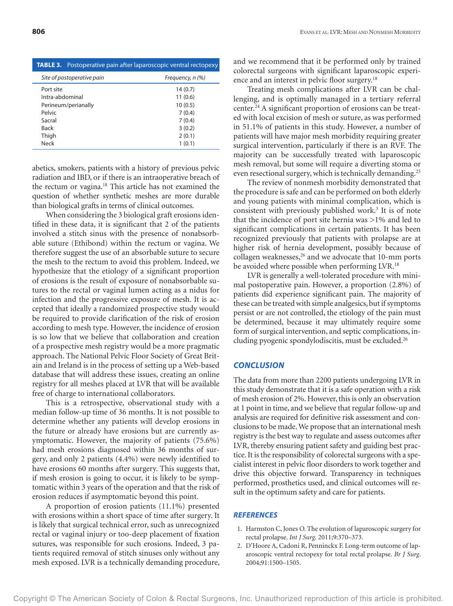| Postoperative pain after laparoscopic ventral rectopexy<br>TABLE 3. |                  |  |
|---------------------------------------------------------------------|------------------|--|
| Site of postoperative pain                                          | Frequency, n (%) |  |
| Port site                                                           | 14(0.7)          |  |
| Intra-abdominal                                                     | 11(0.6)          |  |
| Perineum/perianally                                                 | 10(0.5)          |  |
| Pelvic                                                              | 7(0.4)           |  |
| Sacral                                                              | 7(0.4)           |  |
| Back                                                                | 3(0.2)           |  |
| Thigh                                                               | 2(0.1)           |  |
| Neck                                                                | 1(0.1)           |  |

abetics, smokers, patients with a history of previous pelvic radiation and IBD, or if there is an intraoperative breach of the rectum or vagina.18 This article has not examined the question of whether synthetic meshes are more durable than biological grafts in terms of clinical outcomes.

When considering the 3 biological graft erosions identified in these data, it is significant that 2 of the patients involved a stitch sinus with the presence of nonabsorbable suture (Ethibond) within the rectum or vagina. We therefore suggest the use of an absorbable suture to secure the mesh to the rectum to avoid this problem. Indeed, we hypothesize that the etiology of a significant proportion of erosions is the result of exposure of nonabsorbable sutures to the rectal or vaginal lumen acting as a nidus for infection and the progressive exposure of mesh. It is accepted that ideally a randomized prospective study would be required to provide clarification of the risk of erosion according to mesh type. However, the incidence of erosion is so low that we believe that collaboration and creation of a prospective mesh registry would be a more pragmatic approach. The National Pelvic Floor Society of Great Britain and Ireland is in the process of setting up a Web-based database that will address these issues, creating an online registry for all meshes placed at LVR that will be available free of charge to international collaborators.

This is a retrospective, observational study with a median follow-up time of 36 months. It is not possible to determine whether any patients will develop erosions in the future or already have erosions but are currently asymptomatic. However, the majority of patients (75.6%) had mesh erosions diagnosed within 36 months of surgery, and only 2 patients (4.4%) were newly identified to have erosions 60 months after surgery. This suggests that, if mesh erosion is going to occur, it is likely to be symptomatic within 3 years of the operation and that the risk of erosion reduces if asymptomatic beyond this point.

A proportion of erosion patients (11.1%) presented with erosions within a short space of time after surgery. It is likely that surgical technical error, such as unrecognized rectal or vaginal injury or too-deep placement of fixation sutures, was responsible for such erosions. Indeed, 3 patients required removal of stitch sinuses only without any mesh exposed. LVR is a technically demanding procedure, and we recommend that it be performed only by trained colorectal surgeons with significant laparoscopic experience and an interest in pelvic floor surgery.18

Treating mesh complications after LVR can be challenging, and is optimally managed in a tertiary referral center.24 A significant proportion of erosions can be treated with local excision of mesh or suture, as was performed in 51.1% of patients in this study. However, a number of patients will have major mesh morbidity requiring greater surgical intervention, particularly if there is an RVF. The majority can be successfully treated with laparoscopic mesh removal, but some will require a diverting stoma or even resectional surgery, which is technically demanding.25

The review of nonmesh morbidity demonstrated that the procedure is safe and can be performed on both elderly and young patients with minimal complication, which is consistent with previously published work.<sup>3</sup> It is of note that the incidence of port site hernia was  $>1\%$  and led to significant complications in certain patients. It has been recognized previously that patients with prolapse are at higher risk of hernia development, possibly because of collagen weaknesses, $26$  and we advocate that 10-mm ports be avoided where possible when performing LVR.<sup>18</sup>

LVR is generally a well-tolerated procedure with minimal postoperative pain. However, a proportion (2.8%) of patients did experience significant pain. The majority of these can be treated with simple analgesics, but if symptoms persist or are not controlled, the etiology of the pain must be determined, because it may ultimately require some form of surgical intervention, and septic complications, including pyogenic spondylodiscitis, must be excluded.26

## **CONCLUSION**

The data from more than 2200 patients undergoing LVR in this study demonstrate that it is a safe operation with a risk of mesh erosion of 2%. However, this is only an observation at 1 point in time, and we believe that regular follow-up and analysis are required for definitive risk assessment and conclusions to be made. We propose that an international mesh registry is the best way to regulate and assess outcomes after LVR, thereby ensuring patient safety and guiding best practice. It is the responsibility of colorectal surgeons with a specialist interest in pelvic floor disorders to work together and drive this objective forward. Transparency in techniques performed, prosthetics used, and clinical outcomes will result in the optimum safety and care for patients.

## **REFERENCES**

- 1. Harmston C, Jones O. The evolution of laparoscopic surgery for rectal prolapse. *Int J Surg*. 2011;9:370–373.
- 2. D'Hoore A, Cadoni R, Penninckx F. Long-term outcome of laparoscopic ventral rectopexy for total rectal prolapse. *Br J Surg*. 2004;91:1500–1505.